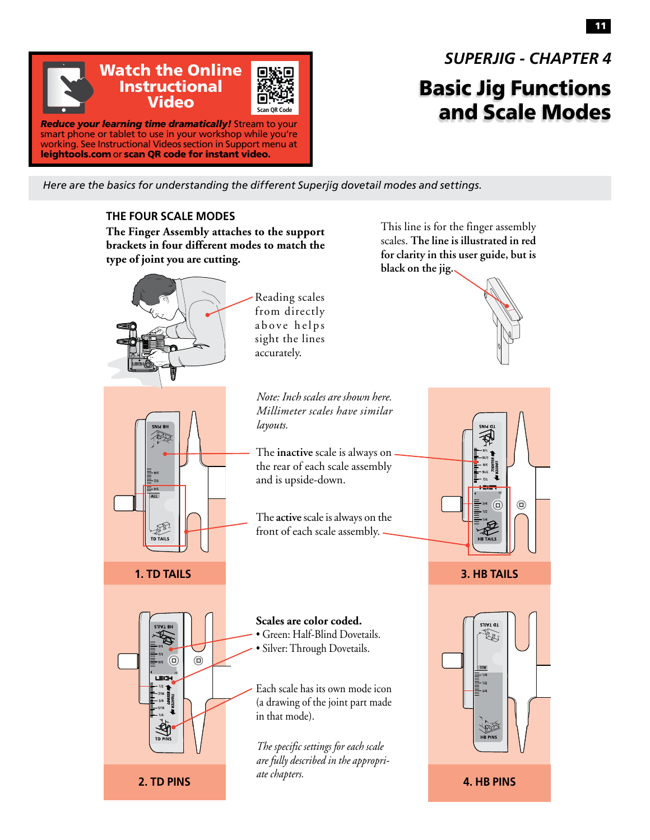

## *SUPERJIG - CHAPTER 4*

## Basic Jig Functions and Scale Modes

*Here are the basics for understanding the different Superjig dovetail modes and settings.*

## **THE FOUR SCALE MODES**

**The Finger Assembly attaches to the support brackets in four different modes to match the type of joint you are cutting.**



This line is for the finger assembly scales. **The line is illustrated in red for clarity in this user guide, but is black on the jig.**